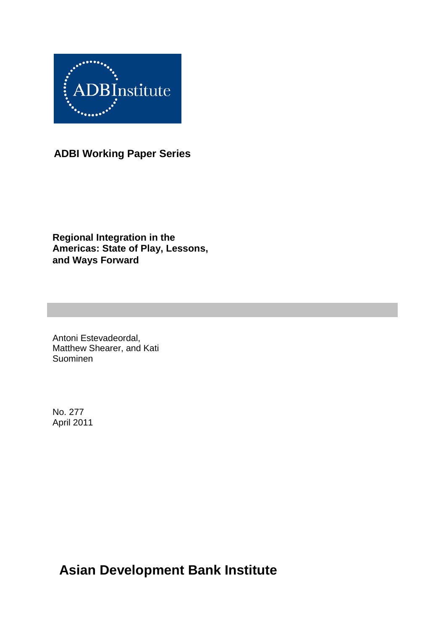

**ADBI Working Paper Series**

**Regional Integration in the Americas: State of Play, Lessons, and Ways Forward**

Antoni Estevadeordal, Matthew Shearer, and Kati Suominen

No. 277 April 2011

**Asian Development Bank Institute**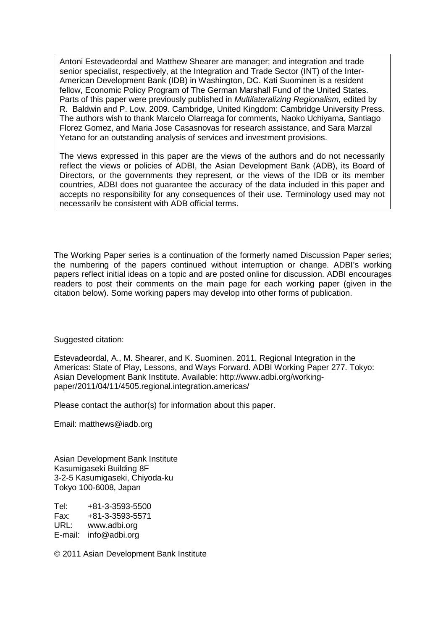Antoni Estevadeordal and Matthew Shearer are manager; and integration and trade senior specialist, respectively, at the Integration and Trade Sector (INT) of the Inter-American Development Bank (IDB) in Washington, DC. Kati Suominen is a resident fellow, Economic Policy Program of The German Marshall Fund of the United States. Parts of this paper were previously published in *Multilateralizing Regionalism,* edited by R. Baldwin and P. Low. 2009. Cambridge, United Kingdom: Cambridge University Press. The authors wish to thank Marcelo Olarreaga for comments, Naoko Uchiyama, Santiago Florez Gomez, and Maria Jose Casasnovas for research assistance, and Sara Marzal Yetano for an outstanding analysis of services and investment provisions.

The views expressed in this paper are the views of the authors and do not necessarily reflect the views or policies of ADBI, the Asian Development Bank (ADB), its Board of Directors, or the governments they represent, or the views of the IDB or its member countries, ADBI does not guarantee the accuracy of the data included in this paper and accepts no responsibility for any consequences of their use. Terminology used may not necessarily be consistent with ADB official terms.

The Working Paper series is a continuation of the formerly named Discussion Paper series; the numbering of the papers continued without interruption or change. ADBI's working papers reflect initial ideas on a topic and are posted online for discussion. ADBI encourages readers to post their comments on the main page for each working paper (given in the citation below). Some working papers may develop into other forms of publication.

Suggested citation:

Estevadeordal, A., M. Shearer, and K. Suominen. 2011. Regional Integration in the Americas: State of Play, Lessons, and Ways Forward. ADBI Working Paper 277. Tokyo: Asian Development Bank Institute. Available: http://www.adbi.org/workingpaper/2011/04/11/4505.regional.integration.americas/

Please contact the author(s) for information about this paper.

Email: matthews@iadb.org

Asian Development Bank Institute Kasumigaseki Building 8F 3-2-5 Kasumigaseki, Chiyoda-ku Tokyo 100-6008, Japan

Tel: +81-3-3593-5500 Fax: +81-3-3593-5571 www.adbi.org E-mail: info@adbi.org

© 2011 Asian Development Bank Institute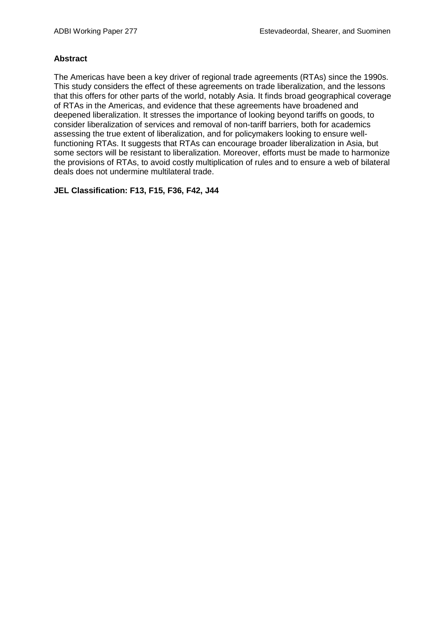#### **Abstract**

The Americas have been a key driver of regional trade agreements (RTAs) since the 1990s. This study considers the effect of these agreements on trade liberalization, and the lessons that this offers for other parts of the world, notably Asia. It finds broad geographical coverage of RTAs in the Americas, and evidence that these agreements have broadened and deepened liberalization. It stresses the importance of looking beyond tariffs on goods, to consider liberalization of services and removal of non-tariff barriers, both for academics assessing the true extent of liberalization, and for policymakers looking to ensure wellfunctioning RTAs. It suggests that RTAs can encourage broader liberalization in Asia, but some sectors will be resistant to liberalization. Moreover, efforts must be made to harmonize the provisions of RTAs, to avoid costly multiplication of rules and to ensure a web of bilateral deals does not undermine multilateral trade.

**JEL Classification: F13, F15, F36, F42, J44**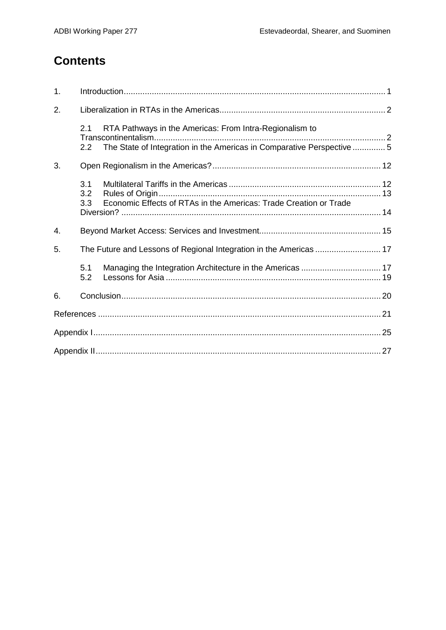# **Contents**

| 1. |                   |                                                                                                                                  |  |  |
|----|-------------------|----------------------------------------------------------------------------------------------------------------------------------|--|--|
| 2. |                   |                                                                                                                                  |  |  |
|    | 2.1<br>2.2        | RTA Pathways in the Americas: From Intra-Regionalism to<br>The State of Integration in the Americas in Comparative Perspective 5 |  |  |
| 3. |                   |                                                                                                                                  |  |  |
|    | 3.1<br>3.2<br>3.3 | Economic Effects of RTAs in the Americas: Trade Creation or Trade                                                                |  |  |
| 4. |                   |                                                                                                                                  |  |  |
| 5. |                   |                                                                                                                                  |  |  |
|    | 5.1<br>5.2        |                                                                                                                                  |  |  |
| 6. |                   |                                                                                                                                  |  |  |
|    |                   |                                                                                                                                  |  |  |
|    |                   |                                                                                                                                  |  |  |
|    |                   |                                                                                                                                  |  |  |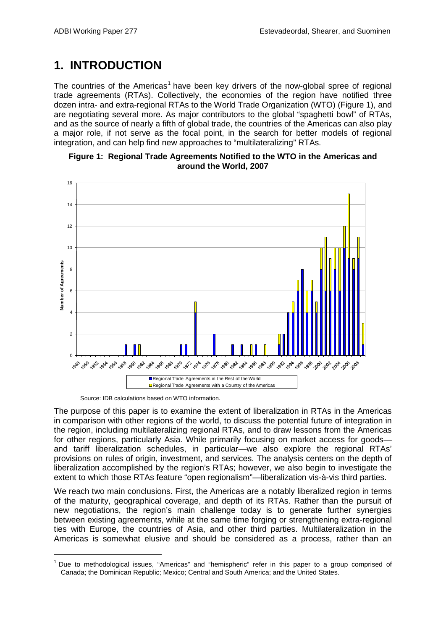## **1. INTRODUCTION**

The countries of the Americas<sup>[1](#page-4-0)</sup> have been key drivers of the now-global spree of regional trade agreements (RTAs). Collectively, the economies of the region have notified three dozen intra- and extra-regional RTAs to the World Trade Organization (WTO) (Figure 1), and are negotiating several more. As major contributors to the global "spaghetti bowl" of RTAs, and as the source of nearly a fifth of global trade, the countries of the Americas can also play a major role, if not serve as the focal point, in the search for better models of regional integration, and can help find new approaches to "multilateralizing" RTAs.





Source: IDB calculations based on WTO information.

The purpose of this paper is to examine the extent of liberalization in RTAs in the Americas in comparison with other regions of the world, to discuss the potential future of integration in the region, including multilateralizing regional RTAs, and to draw lessons from the Americas for other regions, particularly Asia. While primarily focusing on market access for goods and tariff liberalization schedules, in particular—we also explore the regional RTAs' provisions on rules of origin, investment, and services. The analysis centers on the depth of liberalization accomplished by the region's RTAs; however, we also begin to investigate the extent to which those RTAs feature "open regionalism"—liberalization vis-à-vis third parties.

We reach two main conclusions. First, the Americas are a notably liberalized region in terms of the maturity, geographical coverage, and depth of its RTAs. Rather than the pursuit of new negotiations, the region's main challenge today is to generate further synergies between existing agreements, while at the same time forging or strengthening extra-regional ties with Europe, the countries of Asia, and other third parties. Multilateralization in the Americas is somewhat elusive and should be considered as a process, rather than an

<span id="page-4-0"></span><sup>&</sup>lt;sup>1</sup> Due to methodological issues, "Americas" and "hemispheric" refer in this paper to a group comprised of Canada; the Dominican Republic; Mexico; Central and South America; and the United States.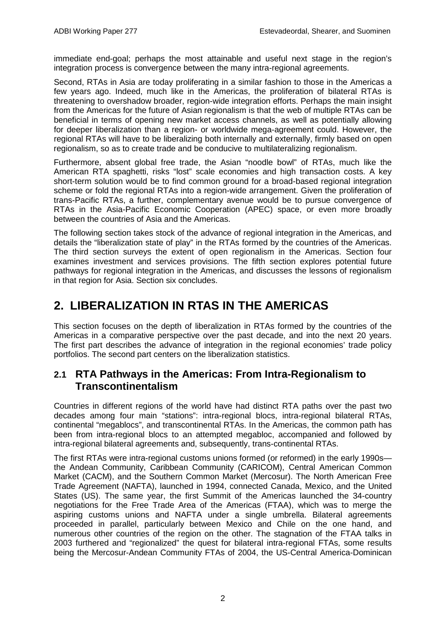immediate end-goal; perhaps the most attainable and useful next stage in the region's integration process is convergence between the many intra-regional agreements.

Second, RTAs in Asia are today proliferating in a similar fashion to those in the Americas a few years ago. Indeed, much like in the Americas, the proliferation of bilateral RTAs is threatening to overshadow broader, region-wide integration efforts. Perhaps the main insight from the Americas for the future of Asian regionalism is that the web of multiple RTAs can be beneficial in terms of opening new market access channels, as well as potentially allowing for deeper liberalization than a region- or worldwide mega-agreement could. However, the regional RTAs will have to be liberalizing both internally and externally, firmly based on open regionalism, so as to create trade and be conducive to multilateralizing regionalism.

Furthermore, absent global free trade, the Asian "noodle bowl" of RTAs, much like the American RTA spaghetti, risks "lost" scale economies and high transaction costs. A key short-term solution would be to find common ground for a broad-based regional integration scheme or fold the regional RTAs into a region-wide arrangement. Given the proliferation of trans-Pacific RTAs, a further, complementary avenue would be to pursue convergence of RTAs in the Asia-Pacific Economic Cooperation (APEC) space, or even more broadly between the countries of Asia and the Americas.

The following section takes stock of the advance of regional integration in the Americas, and details the "liberalization state of play" in the RTAs formed by the countries of the Americas. The third section surveys the extent of open regionalism in the Americas. Section four examines investment and services provisions. The fifth section explores potential future pathways for regional integration in the Americas, and discusses the lessons of regionalism in that region for Asia. Section six concludes.

# **2. LIBERALIZATION IN RTAS IN THE AMERICAS**

This section focuses on the depth of liberalization in RTAs formed by the countries of the Americas in a comparative perspective over the past decade, and into the next 20 years. The first part describes the advance of integration in the regional economies' trade policy portfolios. The second part centers on the liberalization statistics.

## **2.1 RTA Pathways in the Americas: From Intra-Regionalism to Transcontinentalism**

Countries in different regions of the world have had distinct RTA paths over the past two decades among four main "stations": intra-regional blocs, intra-regional bilateral RTAs, continental "megablocs", and transcontinental RTAs. In the Americas, the common path has been from intra-regional blocs to an attempted megabloc, accompanied and followed by intra-regional bilateral agreements and, subsequently, trans-continental RTAs.

The first RTAs were intra-regional customs unions formed (or reformed) in the early 1990s the Andean Community, Caribbean Community (CARICOM), Central American Common Market (CACM), and the Southern Common Market (Mercosur). The North American Free Trade Agreement (NAFTA), launched in 1994, connected Canada, Mexico, and the United States (US). The same year, the first Summit of the Americas launched the 34-country negotiations for the Free Trade Area of the Americas (FTAA), which was to merge the aspiring customs unions and NAFTA under a single umbrella. Bilateral agreements proceeded in parallel, particularly between Mexico and Chile on the one hand, and numerous other countries of the region on the other. The stagnation of the FTAA talks in 2003 furthered and "regionalized" the quest for bilateral intra-regional FTAs, some results being the Mercosur-Andean Community FTAs of 2004, the US-Central America-Dominican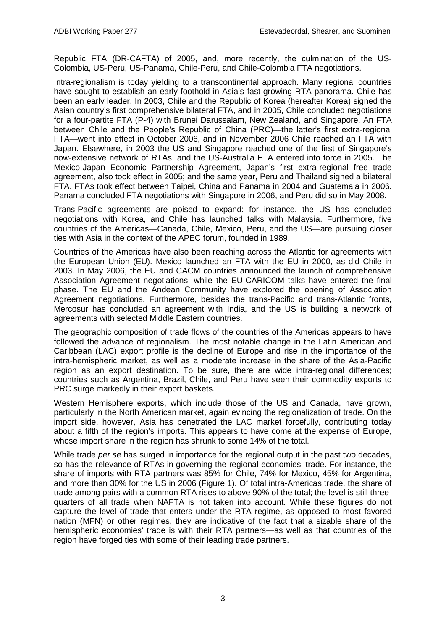Republic FTA (DR-CAFTA) of 2005, and, more recently, the culmination of the US-Colombia, US-Peru, US-Panama, Chile-Peru, and Chile-Colombia FTA negotiations.

Intra-regionalism is today yielding to a transcontinental approach. Many regional countries have sought to establish an early foothold in Asia's fast-growing RTA panorama. Chile has been an early leader. In 2003, Chile and the Republic of Korea (hereafter Korea) signed the Asian country's first comprehensive bilateral FTA, and in 2005, Chile concluded negotiations for a four-partite FTA (P-4) with Brunei Darussalam, New Zealand, and Singapore. An FTA between Chile and the People's Republic of China (PRC)—the latter's first extra-regional FTA—went into effect in October 2006, and in November 2006 Chile reached an FTA with Japan. Elsewhere, in 2003 the US and Singapore reached one of the first of Singapore's now-extensive network of RTAs, and the US-Australia FTA entered into force in 2005. The Mexico-Japan Economic Partnership Agreement, Japan's first extra-regional free trade agreement, also took effect in 2005; and the same year, Peru and Thailand signed a bilateral FTA. FTAs took effect between Taipei, China and Panama in 2004 and Guatemala in 2006. Panama concluded FTA negotiations with Singapore in 2006, and Peru did so in May 2008.

Trans-Pacific agreements are poised to expand: for instance, the US has concluded negotiations with Korea, and Chile has launched talks with Malaysia. Furthermore, five countries of the Americas—Canada, Chile, Mexico, Peru, and the US—are pursuing closer ties with Asia in the context of the APEC forum, founded in 1989.

Countries of the Americas have also been reaching across the Atlantic for agreements with the European Union (EU). Mexico launched an FTA with the EU in 2000, as did Chile in 2003. In May 2006, the EU and CACM countries announced the launch of comprehensive Association Agreement negotiations, while the EU-CARICOM talks have entered the final phase. The EU and the Andean Community have explored the opening of Association Agreement negotiations. Furthermore, besides the trans-Pacific and trans-Atlantic fronts, Mercosur has concluded an agreement with India, and the US is building a network of agreements with selected Middle Eastern countries.

The geographic composition of trade flows of the countries of the Americas appears to have followed the advance of regionalism. The most notable change in the Latin American and Caribbean (LAC) export profile is the decline of Europe and rise in the importance of the intra-hemispheric market, as well as a moderate increase in the share of the Asia-Pacific region as an export destination. To be sure, there are wide intra-regional differences; countries such as Argentina, Brazil, Chile, and Peru have seen their commodity exports to PRC surge markedly in their export baskets.

Western Hemisphere exports, which include those of the US and Canada, have grown, particularly in the North American market, again evincing the regionalization of trade. On the import side, however, Asia has penetrated the LAC market forcefully, contributing today about a fifth of the region's imports. This appears to have come at the expense of Europe, whose import share in the region has shrunk to some 14% of the total.

While trade *per se* has surged in importance for the regional output in the past two decades, so has the relevance of RTAs in governing the regional economies' trade. For instance, the share of imports with RTA partners was 85% for Chile, 74% for Mexico, 45% for Argentina, and more than 30% for the US in 2006 (Figure 1). Of total intra-Americas trade, the share of trade among pairs with a common RTA rises to above 90% of the total; the level is still threequarters of all trade when NAFTA is not taken into account. While these figure*s* do not capture the level of trade that enters under the RTA regime, as opposed to most favored nation (MFN) or other regimes, they are indicative of the fact that a sizable share of the hemispheric economies' trade is with their RTA partners—as well as that countries of the region have forged ties with some of their leading trade partners.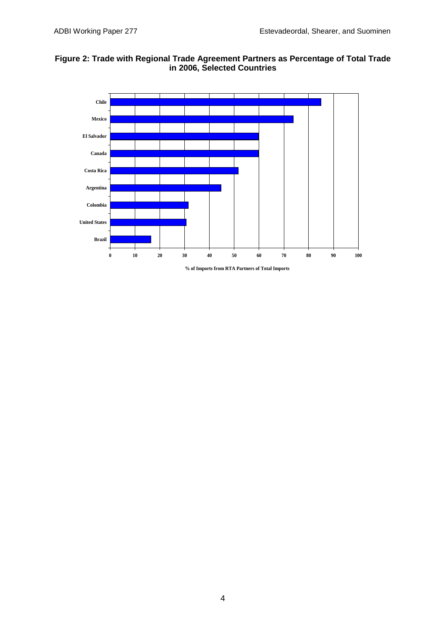



**% of Imports from RTA Partners of Total Imports**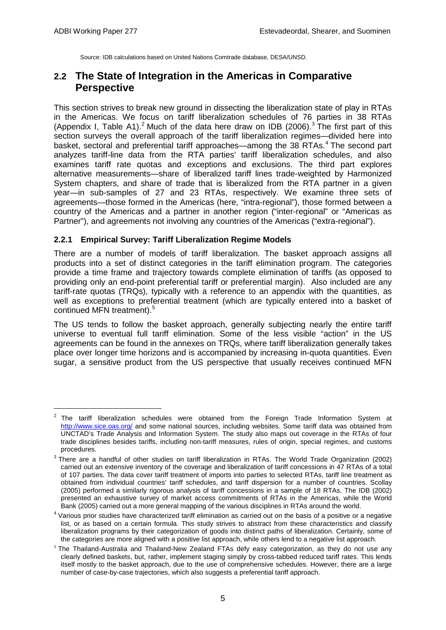Source: IDB calculations based on United Nations Comtrade database, DESA/UNSD.

## **2.2 The State of Integration in the Americas in Comparative Perspective**

This section strives to break new ground in dissecting the liberalization state of play in RTAs in the Americas. We focus on tariff liberalization schedules of 76 parties in 38 RTAs (Appendix I, Table A1).<sup>[2](#page-8-0)</sup> Much of the data here draw on IDB (2006).<sup>[3](#page-8-1)</sup> The first part of this section surveys the overall approach of the tariff liberalization regimes—divided here into basket, sectoral and preferential tariff approaches—among the 38 RTAs.<sup>[4](#page-8-2)</sup> The second part analyzes tariff-line data from the RTA parties' tariff liberalization schedules, and also examines tariff rate quotas and exceptions and exclusions. The third part explores alternative measurements—share of liberalized tariff lines trade-weighted by Harmonized System chapters, and share of trade that is liberalized from the RTA partner in a given year—in sub-samples of 27 and 23 RTAs, respectively. We examine three sets of agreements—those formed in the Americas (here, "intra-regional"), those formed between a country of the Americas and a partner in another region ("inter-regional" or "Americas as Partner"), and agreements not involving any countries of the Americas ("extra-regional").

### **2.2.1 Empirical Survey: Tariff Liberalization Regime Models**

There are a number of models of tariff liberalization. The basket approach assigns all products into a set of distinct categories in the tariff elimination program. The categories provide a time frame and trajectory towards complete elimination of tariffs (as opposed to providing only an end-point preferential tariff or preferential margin). Also included are any tariff-rate quotas (TRQs), typically with a reference to an appendix with the quantities, as well as exceptions to preferential treatment (which are typically entered into a basket of continued MFN treatment).<sup>[5](#page-8-3)</sup>

The US tends to follow the basket approach, generally subjecting nearly the entire tariff universe to eventual full tariff elimination. Some of the less visible "action" in the US agreements can be found in the annexes on TRQs, where tariff liberalization generally takes place over longer time horizons and is accompanied by increasing in-quota quantities. Even sugar, a sensitive product from the US perspective that usually receives continued MFN

<span id="page-8-0"></span> $2$  The tariff liberalization schedules were obtained from the Foreign Trade Information System at <http://www.sice.oas.org/> and some national sources, including websites. Some tariff data was obtained from UNCTAD's Trade Analysis and Information System. The study also maps out coverage in the RTAs of four trade disciplines besides tariffs, including non-tariff measures, rules of origin, special regimes, and customs procedures.

<span id="page-8-1"></span><sup>&</sup>lt;sup>3</sup> There are a handful of other studies on tariff liberalization in RTAs. The World Trade Organization (2002) carried out an extensive inventory of the coverage and liberalization of tariff concessions in 47 RTAs of a total of 107 parties. The data cover tariff treatment of imports into parties to selected RTAs, tariff line treatment as obtained from individual countries' tariff schedules, and tariff dispersion for a number of countries. Scollay (2005) performed a similarly rigorous analysis of tariff concessions in a sample of 18 RTAs. The IDB (2002) presented an exhaustive survey of market access commitments of RTAs in the Americas, while the World Bank (2005) carried out a more general mapping of the various disciplines in RTAs around the world.

<span id="page-8-2"></span> $4$  Various prior studies have characterized tariff elimination as carried out on the basis of a positive or a negative list, or as based on a certain formula. This study strives to abstract from these characteristics and classify liberalization programs by their categorization of goods into distinct paths of liberalization. Certainly, some of the categories are more aligned with a positive list approach, while others lend to a negative list approach.

<span id="page-8-3"></span> $5$  The Thailand-Australia and Thailand-New Zealand FTAs defy easy categorization, as they do not use any clearly defined baskets, but, rather, implement staging simply by cross-tabbed reduced tariff rates. This lends itself mostly to the basket approach, due to the use of comprehensive schedules. However, there are a large number of case-by-case trajectories, which also suggests a preferential tariff approach.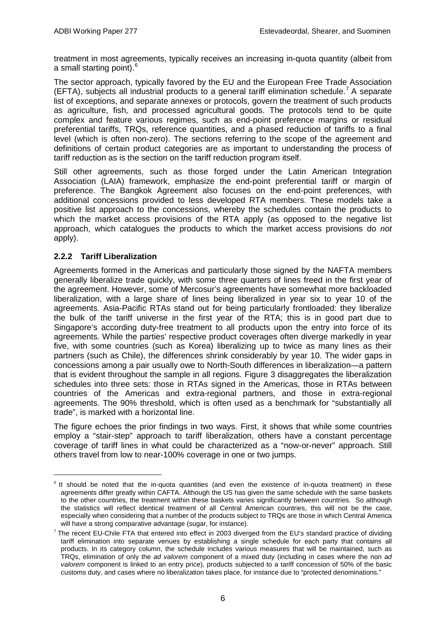treatment in most agreements, typically receives an increasing in-quota quantity (albeit from a small starting point).<sup>[6](#page-9-0)</sup>

The sector approach, typically favored by the EU and the European Free Trade Association (EFTA), subjects all industrial products to a general tariff elimination schedule.<sup>[7](#page-9-1)</sup> A separate list of exceptions, and separate annexes or protocols, govern the treatment of such products as agriculture, fish, and processed agricultural goods. The protocols tend to be quite complex and feature various regimes, such as end-point preference margins or residual preferential tariffs, TRQs, reference quantities, and a phased reduction of tariffs to a final level (which is often non-zero). The sections referring to the scope of the agreement and definitions of certain product categories are as important to understanding the process of tariff reduction as is the section on the tariff reduction program itself.

Still other agreements, such as those forged under the Latin American Integration Association (LAIA) framework, emphasize the end-point preferential tariff or margin of preference. The Bangkok Agreement also focuses on the end-point preferences, with additional concessions provided to less developed RTA members. These models take a positive list approach to the concessions, whereby the schedules contain the products to which the market access provisions of the RTA apply (as opposed to the negative list approach, which catalogues the products to which the market access provisions do *not* apply).

### **2.2.2 Tariff Liberalization**

-

Agreements formed in the Americas and particularly those signed by the NAFTA members generally liberalize trade quickly, with some three quarters of lines freed in the first year of the agreement. However, some of Mercosur's agreements have somewhat more backloaded liberalization, with a large share of lines being liberalized in year six to year 10 of the agreements. Asia-Pacific RTAs stand out for being particularly frontloaded: they liberalize the bulk of the tariff universe in the first year of the RTA; this is in good part due to Singapore's according duty-free treatment to all products upon the entry into force of its agreements. While the parties' respective product coverages often diverge markedly in year five, with some countries (such as Korea) liberalizing up to twice as many lines as their partners (such as Chile), the differences shrink considerably by year 10. The wider gaps in concessions among a pair usually owe to North-South differences in liberalization—a pattern that is evident throughout the sample in all regions. Figure 3 disaggregates the liberalization schedules into three sets: those in RTAs signed in the Americas, those in RTAs between countries of the Americas and extra-regional partners, and those in extra-regional agreements. The 90% threshold, which is often used as a benchmark for "substantially all trade", is marked with a horizontal line.

The figure echoes the prior findings in two ways. First, it shows that while some countries employ a "stair-step" approach to tariff liberalization, others have a constant percentage coverage of tariff lines in what could be characterized as a "now-or-never" approach. Still others travel from low to near-100% coverage in one or two jumps.

<span id="page-9-0"></span> $6$  It should be noted that the in-quota quantities (and even the existence of in-quota treatment) in these agreements differ greatly within CAFTA. Although the US has given the same schedule with the same baskets to the other countries, the treatment within these baskets varies significantly between countries. So although the statistics will reflect identical treatment of all Central American countries, this will not be the case, especially when considering that a number of the products subject to TRQs are those in which Central America will have a strong comparative advantage (sugar, for instance).

<span id="page-9-1"></span> $7$  The recent EU-Chile FTA that entered into effect in 2003 diverged from the EU's standard practice of dividing tariff elimination into separate venues by establishing a single schedule for each party that contains all products. In its category column, the schedule includes various measures that will be maintained, such as TRQs, elimination of only the *ad valorem* component of a mixed duty (including in cases where the non *ad valorem* component is linked to an entry price), products subjected to a tariff concession of 50% of the basic customs duty, and cases where no liberalization takes place, for instance due to "protected denominations."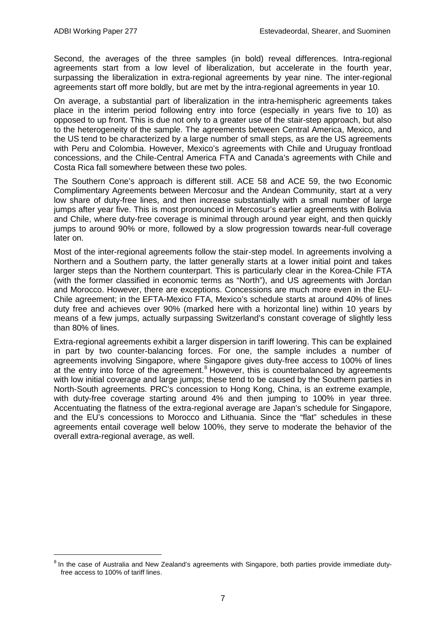Second, the averages of the three samples (in bold) reveal differences. Intra-regional agreements start from a low level of liberalization, but accelerate in the fourth year, surpassing the liberalization in extra-regional agreements by year nine. The inter-regional agreements start off more boldly, but are met by the intra-regional agreements in year 10.

On average, a substantial part of liberalization in the intra-hemispheric agreements takes place in the interim period following entry into force (especially in years five to 10) as opposed to up front. This is due not only to a greater use of the stair-step approach, but also to the heterogeneity of the sample. The agreements between Central America, Mexico, and the US tend to be characterized by a large number of small steps, as are the US agreements with Peru and Colombia. However, Mexico's agreements with Chile and Uruguay frontload concessions, and the Chile-Central America FTA and Canada's agreements with Chile and Costa Rica fall somewhere between these two poles.

The Southern Cone's approach is different still. ACE 58 and ACE 59, the two Economic Complimentary Agreements between Mercosur and the Andean Community, start at a very low share of duty-free lines, and then increase substantially with a small number of large jumps after year five. This is most pronounced in Mercosur's earlier agreements with Bolivia and Chile, where duty-free coverage is minimal through around year eight, and then quickly jumps to around 90% or more, followed by a slow progression towards near-full coverage later on.

Most of the inter-regional agreements follow the stair-step model. In agreements involving a Northern and a Southern party, the latter generally starts at a lower initial point and takes larger steps than the Northern counterpart. This is particularly clear in the Korea-Chile FTA (with the former classified in economic terms as "North"), and US agreements with Jordan and Morocco. However, there are exceptions. Concessions are much more even in the EU-Chile agreement; in the EFTA-Mexico FTA, Mexico's schedule starts at around 40% of lines duty free and achieves over 90% (marked here with a horizontal line) within 10 years by means of a few jumps, actually surpassing Switzerland's constant coverage of slightly less than 80% of lines.

Extra-regional agreements exhibit a larger dispersion in tariff lowering. This can be explained in part by two counter-balancing forces. For one, the sample includes a number of agreements involving Singapore, where Singapore gives duty-free access to 100% of lines at the entry into force of the agreement.<sup>[8](#page-10-0)</sup> However, this is counterbalanced by agreements with low initial coverage and large jumps; these tend to be caused by the Southern parties in North-South agreements. PRC's concession to Hong Kong, China, is an extreme example, with duty-free coverage starting around 4% and then jumping to 100% in year three. Accentuating the flatness of the extra-regional average are Japan's schedule for Singapore, and the EU's concessions to Morocco and Lithuania. Since the "flat" schedules in these agreements entail coverage well below 100%, they serve to moderate the behavior of the overall extra-regional average, as well.

<span id="page-10-0"></span><sup>&</sup>lt;sup>8</sup> In the case of Australia and New Zealand's agreements with Singapore, both parties provide immediate dutyfree access to 100% of tariff lines.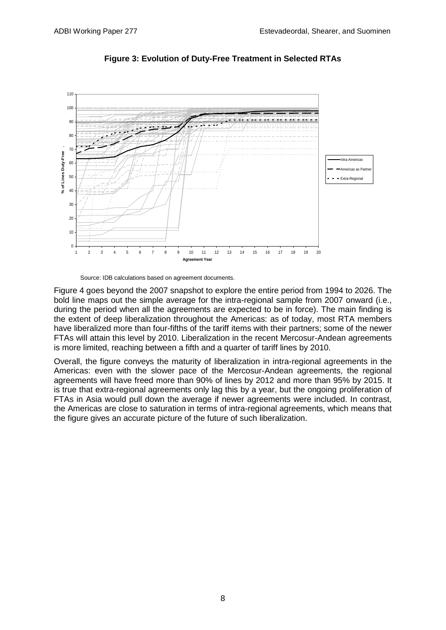

**Figure 3: Evolution of Duty-Free Treatment in Selected RTAs**

Source: IDB calculations based on agreement documents.

Figure 4 goes beyond the 2007 snapshot to explore the entire period from 1994 to 2026. The bold line maps out the simple average for the intra-regional sample from 2007 onward (i.e., during the period when all the agreements are expected to be in force). The main finding is the extent of deep liberalization throughout the Americas: as of today, most RTA members have liberalized more than four-fifths of the tariff items with their partners; some of the newer FTAs will attain this level by 2010. Liberalization in the recent Mercosur-Andean agreements is more limited, reaching between a fifth and a quarter of tariff lines by 2010.

Overall, the figure conveys the maturity of liberalization in intra-regional agreements in the Americas: even with the slower pace of the Mercosur-Andean agreements, the regional agreements will have freed more than 90% of lines by 2012 and more than 95% by 2015. It is true that extra-regional agreements only lag this by a year, but the ongoing proliferation of FTAs in Asia would pull down the average if newer agreements were included. In contrast, the Americas are close to saturation in terms of intra-regional agreements, which means that the figure gives an accurate picture of the future of such liberalization.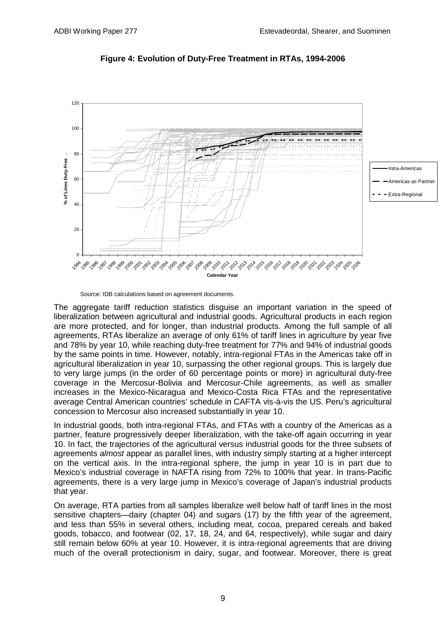

**Figure 4: Evolution of Duty-Free Treatment in RTAs, 1994-2006**

Source: IDB calculations based on agreement documents.

The aggregate tariff reduction statistics disguise an important variation in the speed of liberalization between agricultural and industrial goods. Agricultural products in each region are more protected, and for longer, than industrial products. Among the full sample of all agreements, RTAs liberalize an average of only 61% of tariff lines in agriculture by year five and 78% by year 10, while reaching duty-free treatment for 77% and 94% of industrial goods by the same points in time. However, notably, intra-regional FTAs in the Americas take off in agricultural liberalization in year 10, surpassing the other regional groups. This is largely due to very large jumps (in the order of 60 percentage points or more) in agricultural duty-free coverage in the Mercosur-Bolivia and Mercosur-Chile agreements, as well as smaller increases in the Mexico-Nicaragua and Mexico-Costa Rica FTAs and the representative average Central American countries' schedule in CAFTA vis-à-vis the US. Peru's agricultural concession to Mercosur also increased substantially in year 10.

In industrial goods, both intra-regional FTAs, and FTAs with a country of the Americas as a partner, feature progressively deeper liberalization, with the take-off again occurring in year 10. In fact, the trajectories of the agricultural versus industrial goods for the three subsets of agreements *almost* appear as parallel lines, with industry simply starting at a higher intercept on the vertical axis. In the intra-regional sphere, the jump in year 10 is in part due to Mexico's industrial coverage in NAFTA rising from 72% to 100% that year. In trans-Pacific agreements, there is a very large jump in Mexico's coverage of Japan's industrial products that year.

On average, RTA parties from all samples liberalize well below half of tariff lines in the most sensitive chapters—dairy (chapter 04) and sugars (17) by the fifth year of the agreement, and less than 55% in several others, including meat, cocoa, prepared cereals and baked goods, tobacco, and footwear (02, 17, 18, 24, and 64, respectively), while sugar and dairy still remain below 60% at year 10. However, it is intra-regional agreements that are driving much of the overall protectionism in dairy, sugar, and footwear. Moreover, there is great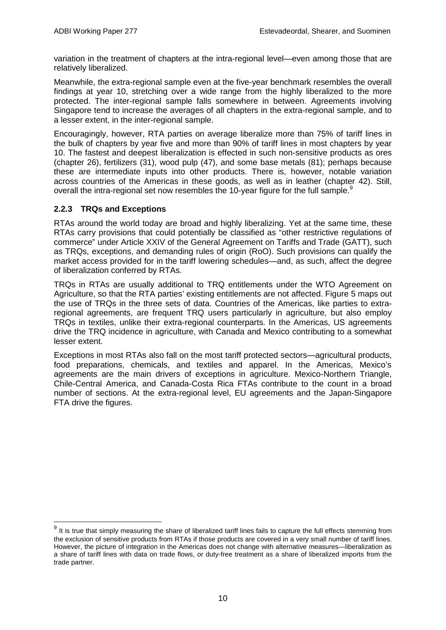variation in the treatment of chapters at the intra-regional level—even among those that are relatively liberalized.

Meanwhile, the extra-regional sample even at the five-year benchmark resembles the overall findings at year 10, stretching over a wide range from the highly liberalized to the more protected. The inter-regional sample falls somewhere in between. Agreements involving Singapore tend to increase the averages of all chapters in the extra-regional sample, and to a lesser extent, in the inter-regional sample.

Encouragingly, however, RTA parties on average liberalize more than 75% of tariff lines in the bulk of chapters by year five and more than 90% of tariff lines in most chapters by year 10. The fastest and deepest liberalization is effected in such non-sensitive products as ores (chapter 26), fertilizers (31), wood pulp (47), and some base metals (81); perhaps because these are intermediate inputs into other products. There is, however, notable variation across countries of the Americas in these goods, as well as in leather (chapter 42). Still, overall the intra-regional set now resembles the 10-year figure for the full sample.<sup>[9](#page-13-0)</sup>

### **2.2.3 TRQs and Exceptions**

RTAs around the world today are broad and highly liberalizing. Yet at the same time, these RTAs carry provisions that could potentially be classified as "other restrictive regulations of commerce" under Article XXIV of the General Agreement on Tariffs and Trade (GATT), such as TRQs, exceptions, and demanding rules of origin (RoO). Such provisions can qualify the market access provided for in the tariff lowering schedules—and, as such, affect the degree of liberalization conferred by RTAs.

TRQs in RTAs are usually additional to TRQ entitlements under the WTO Agreement on Agriculture, so that the RTA parties' existing entitlements are not affected. Figure 5 maps out the use of TRQs in the three sets of data. Countries of the Americas, like parties to extraregional agreements, are frequent TRQ users particularly in agriculture, but also employ TRQs in textiles, unlike their extra-regional counterparts. In the Americas, US agreements drive the TRQ incidence in agriculture, with Canada and Mexico contributing to a somewhat lesser extent.

Exceptions in most RTAs also fall on the most tariff protected sectors—agricultural products, food preparations, chemicals, and textiles and apparel. In the Americas, Mexico's agreements are the main drivers of exceptions in agriculture. Mexico-Northern Triangle, Chile-Central America, and Canada-Costa Rica FTAs contribute to the count in a broad number of sections. At the extra-regional level, EU agreements and the Japan-Singapore FTA drive the figures.

<span id="page-13-0"></span> $9$  It is true that simply measuring the share of liberalized tariff lines fails to capture the full effects stemming from the exclusion of sensitive products from RTAs if those products are covered in a very small number of tariff lines. However, the picture of integration in the Americas does not change with alternative measures—liberalization as a share of tariff lines with data on trade flows, or duty-free treatment as a share of liberalized imports from the trade partner.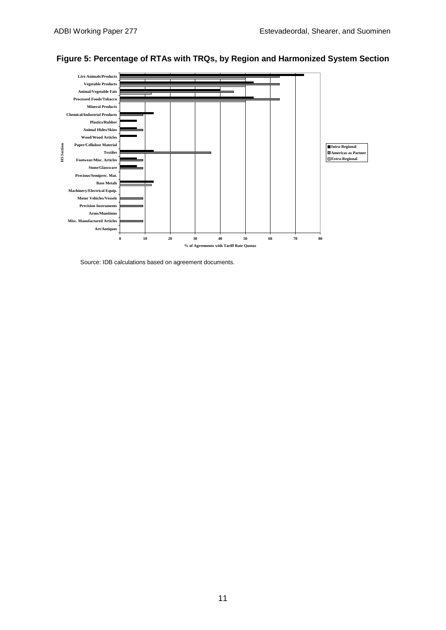

### **Figure 5: Percentage of RTAs with TRQs, by Region and Harmonized System Section**

Source: IDB calculations based on agreement documents.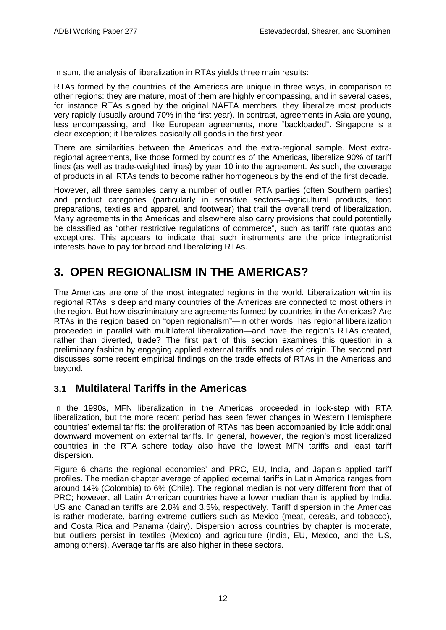In sum, the analysis of liberalization in RTAs yields three main results:

RTAs formed by the countries of the Americas are unique in three ways, in comparison to other regions: they are mature, most of them are highly encompassing, and in several cases, for instance RTAs signed by the original NAFTA members, they liberalize most products very rapidly (usually around 70% in the first year). In contrast, agreements in Asia are young, less encompassing, and, like European agreements, more "backloaded". Singapore is a clear exception; it liberalizes basically all goods in the first year.

There are similarities between the Americas and the extra-regional sample. Most extraregional agreements, like those formed by countries of the Americas, liberalize 90% of tariff lines (as well as trade-weighted lines) by year 10 into the agreement. As such, the coverage of products in all RTAs tends to become rather homogeneous by the end of the first decade.

However, all three samples carry a number of outlier RTA parties (often Southern parties) and product categories (particularly in sensitive sectors—agricultural products, food preparations, textiles and apparel, and footwear) that trail the overall trend of liberalization. Many agreements in the Americas and elsewhere also carry provisions that could potentially be classified as "other restrictive regulations of commerce", such as tariff rate quotas and exceptions. This appears to indicate that such instruments are the price integrationist interests have to pay for broad and liberalizing RTAs.

# **3. OPEN REGIONALISM IN THE AMERICAS?**

The Americas are one of the most integrated regions in the world. Liberalization within its regional RTAs is deep and many countries of the Americas are connected to most others in the region. But how discriminatory are agreements formed by countries in the Americas? Are RTAs in the region based on "open regionalism"—in other words, has regional liberalization proceeded in parallel with multilateral liberalization—and have the region's RTAs created, rather than diverted, trade? The first part of this section examines this question in a preliminary fashion by engaging applied external tariffs and rules of origin. The second part discusses some recent empirical findings on the trade effects of RTAs in the Americas and beyond.

## **3.1 Multilateral Tariffs in the Americas**

In the 1990s, MFN liberalization in the Americas proceeded in lock-step with RTA liberalization, but the more recent period has seen fewer changes in Western Hemisphere countries' external tariffs: the proliferation of RTAs has been accompanied by little additional downward movement on external tariffs. In general, however, the region's most liberalized countries in the RTA sphere today also have the lowest MFN tariffs and least tariff dispersion.

Figure 6 charts the regional economies' and PRC, EU, India, and Japan's applied tariff profiles. The median chapter average of applied external tariffs in Latin America ranges from around 14% (Colombia) to 6% (Chile). The regional median is not very different from that of PRC; however, all Latin American countries have a lower median than is applied by India. US and Canadian tariffs are 2.8% and 3.5%, respectively. Tariff dispersion in the Americas is rather moderate, barring extreme outliers such as Mexico (meat, cereals, and tobacco), and Costa Rica and Panama (dairy). Dispersion across countries by chapter is moderate, but outliers persist in textiles (Mexico) and agriculture (India, EU, Mexico, and the US, among others). Average tariffs are also higher in these sectors.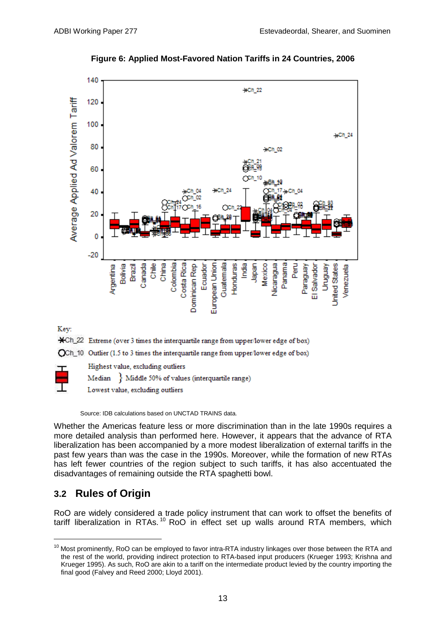

**Figure 6: Applied Most-Favored Nation Tariffs in 24 Countries, 2006**

### Key:

\*Ch\_22 Extreme (over 3 times the interquartile range from upper/lower edge of box)

OCh\_10 Outlier (1.5 to 3 times the interquartile range from upper/lower edge of box)



Highest value, excluding outliers

Median Middle 50% of values (interquartile range)

Lowest value, excluding outliers

Source: IDB calculations based on UNCTAD TRAINS data.

Whether the Americas feature less or more discrimination than in the late 1990s requires a more detailed analysis than performed here. However, it appears that the advance of RTA liberalization has been accompanied by a more modest liberalization of external tariffs in the past few years than was the case in the 1990s. Moreover, while the formation of new RTAs has left fewer countries of the region subject to such tariffs, it has also accentuated the disadvantages of remaining outside the RTA spaghetti bowl.

## **3.2 Rules of Origin**

RoO are widely considered a trade policy instrument that can work to offset the benefits of tariff liberalization in RTAs.<sup>[10](#page-16-0)</sup> RoO in effect set up walls around RTA members, which

<span id="page-16-0"></span><sup>&</sup>lt;sup>10</sup> Most prominently, RoO can be employed to favor intra-RTA industry linkages over those between the RTA and the rest of the world, providing indirect protection to RTA-based input producers (Krueger 1993; Krishna and Krueger 1995). As such, RoO are akin to a tariff on the intermediate product levied by the country importing the final good (Falvey and Reed 2000; Lloyd 2001).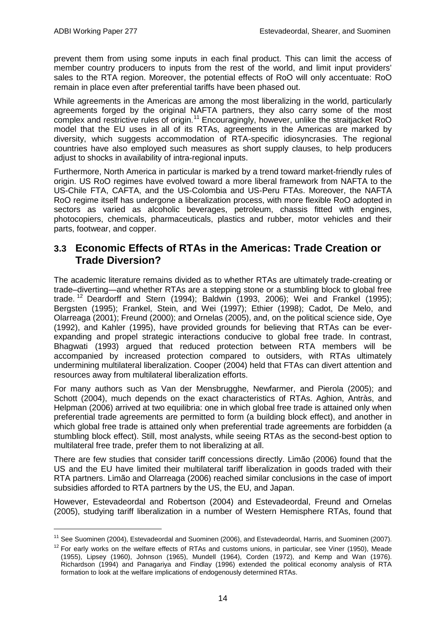prevent them from using some inputs in each final product. This can limit the access of member country producers to inputs from the rest of the world, and limit input providers' sales to the RTA region. Moreover, the potential effects of RoO will only accentuate: RoO remain in place even after preferential tariffs have been phased out.

While agreements in the Americas are among the most liberalizing in the world, particularly agreements forged by the original NAFTA partners, they also carry some of the most complex and restrictive rules of origin.<sup>[11](#page-17-0)</sup> Encouragingly, however, unlike the straitjacket RoO model that the EU uses in all of its RTAs, agreements in the Americas are marked by diversity, which suggests accommodation of RTA-specific idiosyncrasies. The regional countries have also employed such measures as short supply clauses, to help producers adjust to shocks in availability of intra-regional inputs.

Furthermore, North America in particular is marked by a trend toward market-friendly rules of origin. US RoO regimes have evolved toward a more liberal framework from NAFTA to the US-Chile FTA, CAFTA, and the US-Colombia and US-Peru FTAs. Moreover, the NAFTA RoO regime itself has undergone a liberalization process, with more flexible RoO adopted in sectors as varied as alcoholic beverages, petroleum, chassis fitted with engines, photocopiers, chemicals, pharmaceuticals, plastics and rubber, motor vehicles and their parts, footwear, and copper.

### **3.3 Economic Effects of RTAs in the Americas: Trade Creation or Trade Diversion?**

The academic literature remains divided as to whether RTAs are ultimately trade-creating or trade–diverting—and whether RTAs are a stepping stone or a stumbling block to global free trade.<sup>[12](#page-17-1)</sup> Deardorff and Stern (1994); Baldwin (1993, 2006); Wei and Frankel (1995); Bergsten (1995); Frankel, Stein, and Wei (1997); Ethier (1998); Cadot, De Melo, and Olarreaga (2001); Freund (2000); and Ornelas (2005), and, on the political science side, Oye (1992), and Kahler (1995), have provided grounds for believing that RTAs can be everexpanding and propel strategic interactions conducive to global free trade. In contrast, Bhagwati (1993) argued that reduced protection between RTA members will be accompanied by increased protection compared to outsiders, with RTAs ultimately undermining multilateral liberalization. Cooper (2004) held that FTAs can divert attention and resources away from multilateral liberalization efforts.

For many authors such as Van der Mensbrugghe, Newfarmer, and Pierola (2005); and Schott (2004), much depends on the exact characteristics of RTAs. Aghion, Antràs, and Helpman (2006) arrived at two equilibria: one in which global free trade is attained only when preferential trade agreements are permitted to form (a building block effect), and another in which global free trade is attained only when preferential trade agreements are forbidden (a stumbling block effect). Still, most analysts, while seeing RTAs as the second-best option to multilateral free trade, prefer them to not liberalizing at all.

There are few studies that consider tariff concessions directly. Limão (2006) found that the US and the EU have limited their multilateral tariff liberalization in goods traded with their RTA partners. Limão and Olarreaga (2006) reached similar conclusions in the case of import subsidies afforded to RTA partners by the US, the EU, and Japan.

However, Estevadeordal and Robertson (2004) and Estevadeordal, Freund and Ornelas (2005), studying tariff liberalization in a number of Western Hemisphere RTAs, found that

<span id="page-17-0"></span><sup>&</sup>lt;sup>11</sup> See Suominen (2004), Estevadeordal and Suominen (2006), and Estevadeordal, Harris, and Suominen (2007).

<span id="page-17-1"></span> $12$  For early works on the welfare effects of RTAs and customs unions, in particular, see Viner (1950), Meade (1955), Lipsey (1960), Johnson (1965), Mundell (1964), Corden (1972), and Kemp and Wan (1976). Richardson (1994) and Panagariya and Findlay (1996) extended the political economy analysis of RTA formation to look at the welfare implications of endogenously determined RTAs.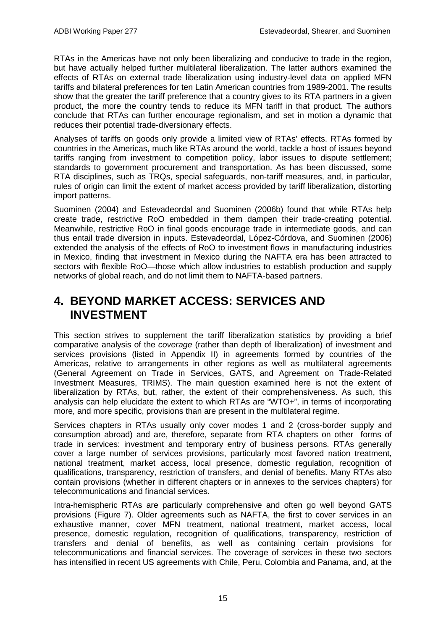RTAs in the Americas have not only been liberalizing and conducive to trade in the region, but have actually helped further multilateral liberalization. The latter authors examined the effects of RTAs on external trade liberalization using industry-level data on applied MFN tariffs and bilateral preferences for ten Latin American countries from 1989-2001. The results show that the greater the tariff preference that a country gives to its RTA partners in a given product, the more the country tends to reduce its MFN tariff in that product. The authors conclude that RTAs can further encourage regionalism, and set in motion a dynamic that reduces their potential trade-diversionary effects.

Analyses of tariffs on goods only provide a limited view of RTAs' effects. RTAs formed by countries in the Americas, much like RTAs around the world, tackle a host of issues beyond tariffs ranging from investment to competition policy, labor issues to dispute settlement; standards to government procurement and transportation. As has been discussed, some RTA disciplines, such as TRQs, special safeguards, non-tariff measures, and, in particular, rules of origin can limit the extent of market access provided by tariff liberalization, distorting import patterns.

Suominen (2004) and Estevadeordal and Suominen (2006b) found that while RTAs help create trade, restrictive RoO embedded in them dampen their trade-creating potential. Meanwhile, restrictive RoO in final goods encourage trade in intermediate goods, and can thus entail trade diversion in inputs. Estevadeordal, López-Córdova, and Suominen (2006) extended the analysis of the effects of RoO to investment flows in manufacturing industries in Mexico, finding that investment in Mexico during the NAFTA era has been attracted to sectors with flexible RoO—those which allow industries to establish production and supply networks of global reach, and do not limit them to NAFTA-based partners.

## **4. BEYOND MARKET ACCESS: SERVICES AND INVESTMENT**

This section strives to supplement the tariff liberalization statistics by providing a brief comparative analysis of the *coverage* (rather than depth of liberalization) of investment and services provisions (listed in Appendix II) in agreements formed by countries of the Americas, relative to arrangements in other regions as well as multilateral agreements (General Agreement on Trade in Services, GATS, and Agreement on Trade-Related Investment Measures, TRIMS). The main question examined here is not the extent of liberalization by RTAs, but, rather, the extent of their comprehensiveness. As such, this analysis can help elucidate the extent to which RTAs are "WTO+", in terms of incorporating more, and more specific, provisions than are present in the multilateral regime.

Services chapters in RTAs usually only cover modes 1 and 2 (cross-border supply and consumption abroad) and are, therefore, separate from RTA chapters on other forms of trade in services: investment and temporary entry of business persons. RTAs generally cover a large number of services provisions, particularly most favored nation treatment, national treatment, market access, local presence, domestic regulation, recognition of qualifications, transparency, restriction of transfers, and denial of benefits. Many RTAs also contain provisions (whether in different chapters or in annexes to the services chapters) for telecommunications and financial services.

Intra-hemispheric RTAs are particularly comprehensive and often go well beyond GATS provisions (Figure 7). Older agreements such as NAFTA, the first to cover services in an exhaustive manner, cover MFN treatment, national treatment, market access, local presence, domestic regulation, recognition of qualifications, transparency, restriction of transfers and denial of benefits, as well as containing certain provisions for telecommunications and financial services. The coverage of services in these two sectors has intensified in recent US agreements with Chile, Peru, Colombia and Panama, and, at the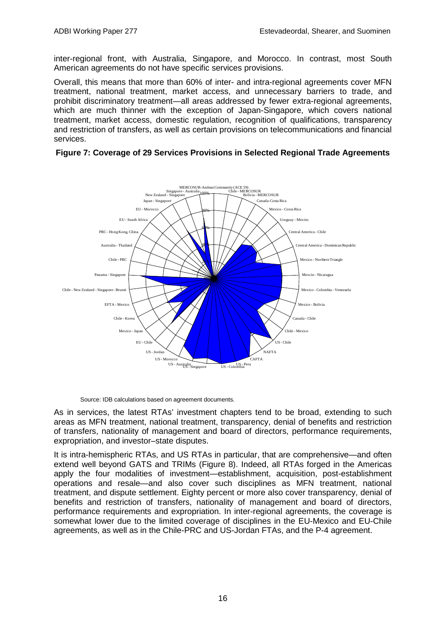inter-regional front, with Australia, Singapore, and Morocco. In contrast, most South American agreements do not have specific services provisions.

Overall, this means that more than 60% of inter- and intra-regional agreements cover MFN treatment, national treatment, market access, and unnecessary barriers to trade, and prohibit discriminatory treatment—all areas addressed by fewer extra-regional agreements, which are much thinner with the exception of Japan-Singapore, which covers national treatment, market access, domestic regulation, recognition of qualifications, transparency and restriction of transfers, as well as certain provisions on telecommunications and financial services.



#### **Figure 7: Coverage of 29 Services Provisions in Selected Regional Trade Agreements**

Source: IDB calculations based on agreement documents.

US - Morocco

US - Jord

US - Australia Singapore

As in services, the latest RTAs' investment chapters tend to be broad, extending to such areas as MFN treatment, national treatment, transparency, denial of benefits and restriction of transfers, nationality of management and board of directors, performance requirements, expropriation, and investor–state disputes.

CAFTA

NAFTA

It is intra-hemispheric RTAs, and US RTAs in particular, that are comprehensive—and often extend well beyond GATS and TRIMs (Figure 8). Indeed, all RTAs forged in the Americas apply the four modalities of investment—establishment, acquisition, post-establishment operations and resale—and also cover such disciplines as MFN treatment, national treatment, and dispute settlement. Eighty percent or more also cover transparency, denial of benefits and restriction of transfers, nationality of management and board of directors, performance requirements and expropriation. In inter-regional agreements, the coverage is somewhat lower due to the limited coverage of disciplines in the EU-Mexico and EU-Chile agreements, as well as in the Chile-PRC and US-Jordan FTAs, and the P-4 agreement.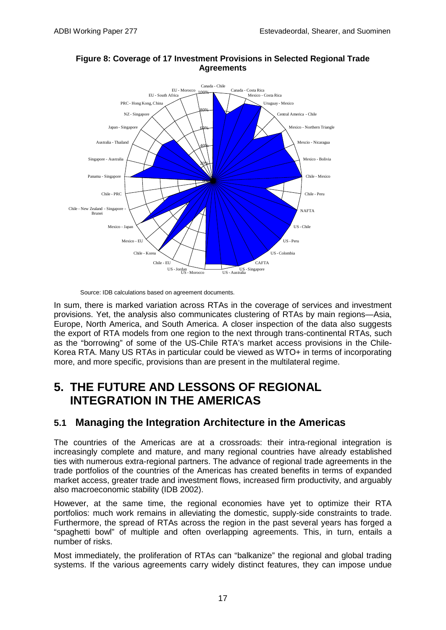

#### **Figure 8: Coverage of 17 Investment Provisions in Selected Regional Trade Agreements**

Source: IDB calculations based on agreement documents.

In sum, there is marked variation across RTAs in the coverage of services and investment provisions. Yet, the analysis also communicates clustering of RTAs by main regions—Asia, Europe, North America, and South America. A closer inspection of the data also suggests the export of RTA models from one region to the next through trans-continental RTAs, such as the "borrowing" of some of the US-Chile RTA's market access provisions in the Chile-Korea RTA. Many US RTAs in particular could be viewed as WTO+ in terms of incorporating more, and more specific, provisions than are present in the multilateral regime.

# **5. THE FUTURE AND LESSONS OF REGIONAL INTEGRATION IN THE AMERICAS**

## **5.1 Managing the Integration Architecture in the Americas**

The countries of the Americas are at a crossroads: their intra-regional integration is increasingly complete and mature, and many regional countries have already established ties with numerous extra-regional partners. The advance of regional trade agreements in the trade portfolios of the countries of the Americas has created benefits in terms of expanded market access, greater trade and investment flows, increased firm productivity, and arguably also macroeconomic stability (IDB 2002).

However, at the same time, the regional economies have yet to optimize their RTA portfolios: much work remains in alleviating the domestic, supply-side constraints to trade. Furthermore, the spread of RTAs across the region in the past several years has forged a "spaghetti bowl" of multiple and often overlapping agreements. This, in turn, entails a number of risks.

Most immediately, the proliferation of RTAs can "balkanize" the regional and global trading systems. If the various agreements carry widely distinct features, they can impose undue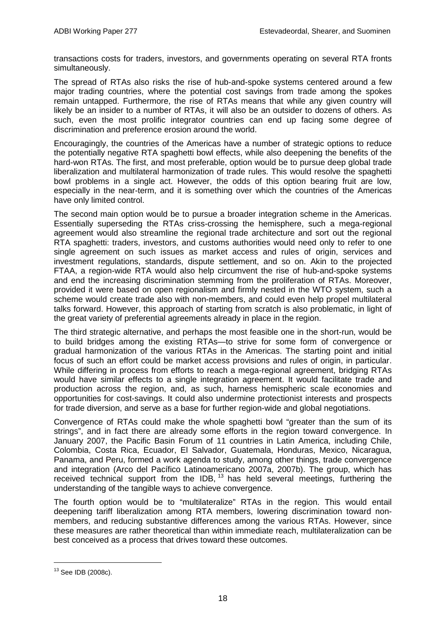transactions costs for traders, investors, and governments operating on several RTA fronts simultaneously.

The spread of RTAs also risks the rise of hub-and-spoke systems centered around a few major trading countries, where the potential cost savings from trade among the spokes remain untapped. Furthermore, the rise of RTAs means that while any given country will likely be an insider to a number of RTAs, it will also be an outsider to dozens of others. As such, even the most prolific integrator countries can end up facing some degree of discrimination and preference erosion around the world.

Encouragingly, the countries of the Americas have a number of strategic options to reduce the potentially negative RTA spaghetti bowl effects, while also deepening the benefits of the hard-won RTAs. The first, and most preferable, option would be to pursue deep global trade liberalization and multilateral harmonization of trade rules. This would resolve the spaghetti bowl problems in a single act. However, the odds of this option bearing fruit are low, especially in the near-term, and it is something over which the countries of the Americas have only limited control.

The second main option would be to pursue a broader integration scheme in the Americas. Essentially superseding the RTAs criss-crossing the hemisphere, such a mega-regional agreement would also streamline the regional trade architecture and sort out the regional RTA spaghetti: traders, investors, and customs authorities would need only to refer to one single agreement on such issues as market access and rules of origin, services and investment regulations, standards, dispute settlement, and so on. Akin to the projected FTAA, a region-wide RTA would also help circumvent the rise of hub-and-spoke systems and end the increasing discrimination stemming from the proliferation of RTAs. Moreover, provided it were based on open regionalism and firmly nested in the WTO system, such a scheme would create trade also with non-members, and could even help propel multilateral talks forward. However, this approach of starting from scratch is also problematic, in light of the great variety of preferential agreements already in place in the region.

The third strategic alternative, and perhaps the most feasible one in the short-run, would be to build bridges among the existing RTAs—to strive for some form of convergence or gradual harmonization of the various RTAs in the Americas. The starting point and initial focus of such an effort could be market access provisions and rules of origin, in particular. While differing in process from efforts to reach a mega-regional agreement, bridging RTAs would have similar effects to a single integration agreement. It would facilitate trade and production across the region, and, as such, harness hemispheric scale economies and opportunities for cost-savings. It could also undermine protectionist interests and prospects for trade diversion, and serve as a base for further region-wide and global negotiations.

Convergence of RTAs could make the whole spaghetti bowl "greater than the sum of its strings", and in fact there are already some efforts in the region toward convergence. In January 2007, the Pacific Basin Forum of 11 countries in Latin America, including Chile, Colombia, Costa Rica, Ecuador, El Salvador, Guatemala, Honduras, Mexico, Nicaragua, Panama, and Peru, formed a work agenda to study, among other things, trade convergence and integration (Arco del Pacífico Latinoamericano 2007a, 2007b). The group, which has received technical support from the IDB, <sup>[13](#page-21-0)</sup> has held several meetings, furthering the understanding of the tangible ways to achieve convergence.

The fourth option would be to "multilateralize" RTAs in the region. This would entail deepening tariff liberalization among RTA members, lowering discrimination toward nonmembers, and reducing substantive differences among the various RTAs. However, since these measures are rather theoretical than within immediate reach, multilateralization can be best conceived as a process that drives toward these outcomes.

<span id="page-21-0"></span> <sup>13</sup> See IDB (2008c).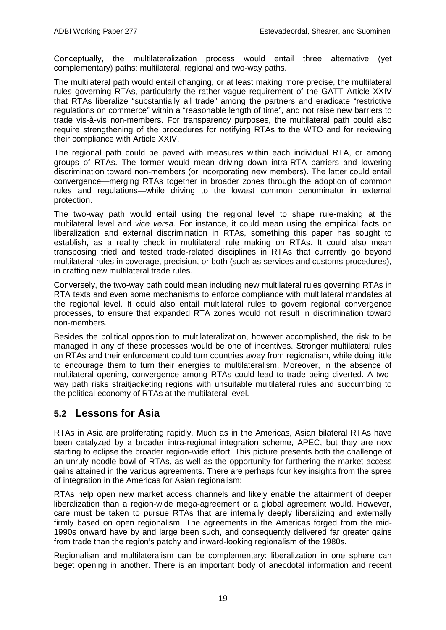Conceptually, the multilateralization process would entail three alternative (yet complementary) paths: multilateral, regional and two-way paths.

The multilateral path would entail changing, or at least making more precise, the multilateral rules governing RTAs, particularly the rather vague requirement of the GATT Article XXIV that RTAs liberalize "substantially all trade" among the partners and eradicate "restrictive regulations on commerce" within a "reasonable length of time", and not raise new barriers to trade vis-à-vis non-members. For transparency purposes, the multilateral path could also require strengthening of the procedures for notifying RTAs to the WTO and for reviewing their compliance with Article XXIV.

The regional path could be paved with measures within each individual RTA, or among groups of RTAs. The former would mean driving down intra-RTA barriers and lowering discrimination toward non-members (or incorporating new members). The latter could entail convergence—merging RTAs together in broader zones through the adoption of common rules and regulations—while driving to the lowest common denominator in external protection.

The two-way path would entail using the regional level to shape rule-making at the multilateral level and *vice versa*. For instance, it could mean using the empirical facts on liberalization and external discrimination in RTAs, something this paper has sought to establish, as a reality check in multilateral rule making on RTAs. It could also mean transposing tried and tested trade-related disciplines in RTAs that currently go beyond multilateral rules in coverage, precision, or both (such as services and customs procedures), in crafting new multilateral trade rules.

Conversely, the two-way path could mean including new multilateral rules governing RTAs in RTA texts and even some mechanisms to enforce compliance with multilateral mandates at the regional level. It could also entail multilateral rules to govern regional convergence processes, to ensure that expanded RTA zones would not result in discrimination toward non-members.

Besides the political opposition to multilateralization, however accomplished, the risk to be managed in any of these processes would be one of incentives. Stronger multilateral rules on RTAs and their enforcement could turn countries away from regionalism, while doing little to encourage them to turn their energies to multilateralism. Moreover, in the absence of multilateral opening, convergence among RTAs could lead to trade being diverted. A twoway path risks straitiacketing regions with unsuitable multilateral rules and succumbing to the political economy of RTAs at the multilateral level.

### **5.2 Lessons for Asia**

RTAs in Asia are proliferating rapidly. Much as in the Americas, Asian bilateral RTAs have been catalyzed by a broader intra-regional integration scheme, APEC, but they are now starting to eclipse the broader region-wide effort. This picture presents both the challenge of an unruly noodle bowl of RTAs, as well as the opportunity for furthering the market access gains attained in the various agreements. There are perhaps four key insights from the spree of integration in the Americas for Asian regionalism:

RTAs help open new market access channels and likely enable the attainment of deeper liberalization than a region-wide mega-agreement or a global agreement would. However, care must be taken to pursue RTAs that are internally deeply liberalizing and externally firmly based on open regionalism. The agreements in the Americas forged from the mid-1990s onward have by and large been such, and consequently delivered far greater gains from trade than the region's patchy and inward-looking regionalism of the 1980s.

Regionalism and multilateralism can be complementary: liberalization in one sphere can beget opening in another. There is an important body of anecdotal information and recent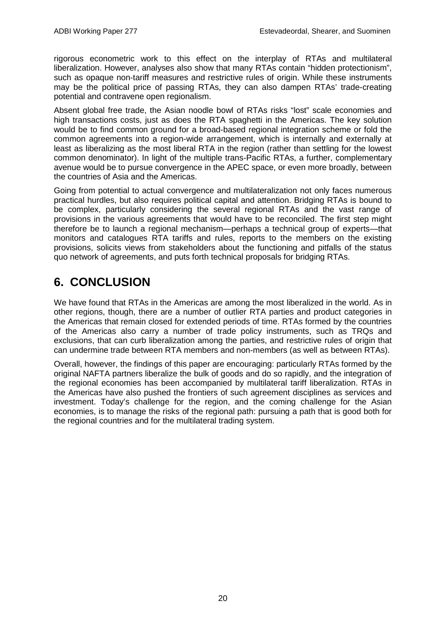rigorous econometric work to this effect on the interplay of RTAs and multilateral liberalization. However, analyses also show that many RTAs contain "hidden protectionism", such as opaque non-tariff measures and restrictive rules of origin. While these instruments may be the political price of passing RTAs, they can also dampen RTAs' trade-creating potential and contravene open regionalism.

Absent global free trade, the Asian noodle bowl of RTAs risks "lost" scale economies and high transactions costs, just as does the RTA spaghetti in the Americas. The key solution would be to find common ground for a broad-based regional integration scheme or fold the common agreements into a region-wide arrangement, which is internally and externally at least as liberalizing as the most liberal RTA in the region (rather than settling for the lowest common denominator). In light of the multiple trans-Pacific RTAs, a further, complementary avenue would be to pursue convergence in the APEC space, or even more broadly, between the countries of Asia and the Americas.

Going from potential to actual convergence and multilateralization not only faces numerous practical hurdles, but also requires political capital and attention. Bridging RTAs is bound to be complex, particularly considering the several regional RTAs and the vast range of provisions in the various agreements that would have to be reconciled. The first step might therefore be to launch a regional mechanism—perhaps a technical group of experts—that monitors and catalogues RTA tariffs and rules, reports to the members on the existing provisions, solicits views from stakeholders about the functioning and pitfalls of the status quo network of agreements, and puts forth technical proposals for bridging RTAs.

## **6. CONCLUSION**

We have found that RTAs in the Americas are among the most liberalized in the world. As in other regions, though, there are a number of outlier RTA parties and product categories in the Americas that remain closed for extended periods of time. RTAs formed by the countries of the Americas also carry a number of trade policy instruments, such as TRQs and exclusions, that can curb liberalization among the parties, and restrictive rules of origin that can undermine trade between RTA members and non-members (as well as between RTAs).

Overall, however, the findings of this paper are encouraging: particularly RTAs formed by the original NAFTA partners liberalize the bulk of goods and do so rapidly, and the integration of the regional economies has been accompanied by multilateral tariff liberalization. RTAs in the Americas have also pushed the frontiers of such agreement disciplines as services and investment. Today's challenge for the region, and the coming challenge for the Asian economies, is to manage the risks of the regional path: pursuing a path that is good both for the regional countries and for the multilateral trading system.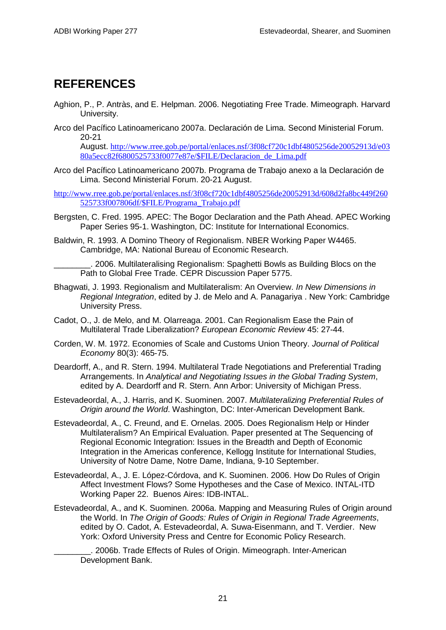## **REFERENCES**

- Aghion, P., P. Antràs, and E. Helpman. 2006. Negotiating Free Trade. Mimeograph. Harvard University.
- Arco del Pacífico Latinoamericano 2007a. Declaración de Lima. Second Ministerial Forum. 20-21

August. [http://www.rree.gob.pe/portal/enlaces.nsf/3f08cf720c1dbf4805256de20052913d/e03](http://www.rree.gob.pe/portal/enlaces.nsf/3f08cf720c1dbf4805256de20052913d/e0380a5ecc82f6800525733f0077e87e/$FILE/Declaracion_de_Lima.pdf) [80a5ecc82f6800525733f0077e87e/\\$FILE/Declaracion\\_de\\_Lima.pdf](http://www.rree.gob.pe/portal/enlaces.nsf/3f08cf720c1dbf4805256de20052913d/e0380a5ecc82f6800525733f0077e87e/$FILE/Declaracion_de_Lima.pdf)

- Arco del Pacífico Latinoamericano 2007b. Programa de Trabajo anexo a la Declaración de Lima. Second Ministerial Forum. 20-21 August.
- [http://www.rree.gob.pe/portal/enlaces.nsf/3f08cf720c1dbf4805256de20052913d/608d2fa8bc449f260](http://www.rree.gob.pe/portal/enlaces.nsf/3f08cf720c1dbf4805256de20052913d/608d2fa8bc449f260525733f007806df/$FILE/Programa_Trabajo.pdf) [525733f007806df/\\$FILE/Programa\\_Trabajo.pdf](http://www.rree.gob.pe/portal/enlaces.nsf/3f08cf720c1dbf4805256de20052913d/608d2fa8bc449f260525733f007806df/$FILE/Programa_Trabajo.pdf)
- Bergsten, C. Fred. 1995. APEC: The Bogor Declaration and the Path Ahead. APEC Working Paper Series 95-1. Washington, DC: Institute for International Economics.
- Baldwin, R. 1993. A Domino Theory of Regionalism. NBER Working Paper W4465. Cambridge, MA: National Bureau of Economic Research.

\_\_\_\_\_\_\_\_. 2006. Multilateralising Regionalism: Spaghetti Bowls as Building Blocs on the Path to Global Free Trade. CEPR Discussion Paper 5775.

- Bhagwati, J. 1993. Regionalism and Multilateralism: An Overview. *In New Dimensions in Regional Integration*, edited by J. de Melo and A. Panagariya . New York: Cambridge University Press.
- Cadot, O., J. de Melo, and M. Olarreaga. 2001. Can Regionalism Ease the Pain of Multilateral Trade Liberalization? *European Economic Review* 45: 27-44.
- Corden, W. M. 1972. Economies of Scale and Customs Union Theory. *Journal of Political Economy* 80(3): 465-75.
- Deardorff, A., and R. Stern. 1994. Multilateral Trade Negotiations and Preferential Trading Arrangements. In *Analytical and Negotiating Issues in the Global Trading System*, edited by A. Deardorff and R. Stern. Ann Arbor: University of Michigan Press.
- Estevadeordal, A., J. Harris, and K. Suominen. 2007. *Multilateralizing Preferential Rules of Origin around the World*. Washington, DC: Inter-American Development Bank.
- Estevadeordal, A., C. Freund, and E. Ornelas. 2005. Does Regionalism Help or Hinder Multilateralism? An Empirical Evaluation. Paper presented at The Sequencing of Regional Economic Integration: Issues in the Breadth and Depth of Economic Integration in the Americas conference, Kellogg Institute for International Studies, University of Notre Dame, Notre Dame, Indiana, 9-10 September.
- Estevadeordal, A., J. E. López-Córdova, and K. Suominen. 2006. How Do Rules of Origin Affect Investment Flows? Some Hypotheses and the Case of Mexico. INTAL-ITD Working Paper 22. Buenos Aires: IDB-INTAL.
- Estevadeordal, A., and K. Suominen. 2006a. Mapping and Measuring Rules of Origin around the World. In *The Origin of Goods: Rules of Origin in Regional Trade Agreements*, edited by O. Cadot, A. Estevadeordal, A. Suwa-Eisenmann, and T. Verdier. New York: Oxford University Press and Centre for Economic Policy Research.

\_\_\_\_\_\_\_\_. 2006b. Trade Effects of Rules of Origin. Mimeograph. Inter-American Development Bank.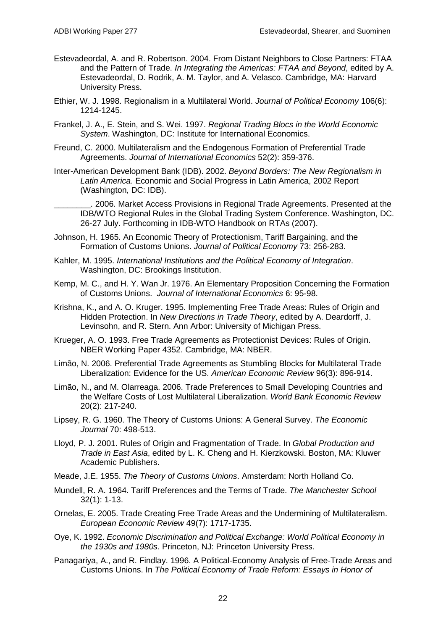- Estevadeordal, A. and R. Robertson. 2004. From Distant Neighbors to Close Partners: FTAA and the Pattern of Trade. *In Integrating the Americas: FTAA and Beyond*, edited by A. Estevadeordal, D. Rodrik, A. M. Taylor, and A. Velasco. Cambridge, MA: Harvard University Press.
- Ethier, W. J. 1998. Regionalism in a Multilateral World. *Journal of Political Economy* 106(6): 1214-1245.
- Frankel, J. A., E. Stein, and S. Wei. 1997. *Regional Trading Blocs in the World Economic System*. Washington, DC: Institute for International Economics.
- Freund, C. 2000. Multilateralism and the Endogenous Formation of Preferential Trade Agreements. *Journal of International Economics* 52(2): 359-376.
- Inter-American Development Bank (IDB). 2002. *Beyond Borders: The New Regionalism in Latin America*. Economic and Social Progress in Latin America, 2002 Report (Washington, DC: IDB).

2006. Market Access Provisions in Regional Trade Agreements. Presented at the IDB/WTO Regional Rules in the Global Trading System Conference. Washington, DC. 26-27 July. Forthcoming in IDB-WTO Handbook on RTAs (2007).

- Johnson, H. 1965. An Economic Theory of Protectionism, Tariff Bargaining, and the Formation of Customs Unions. *Journal of Political Economy* 73: 256-283.
- Kahler, M. 1995. *International Institutions and the Political Economy of Integration*. Washington, DC: Brookings Institution.
- Kemp, M. C., and H. Y. Wan Jr. 1976. An Elementary Proposition Concerning the Formation of Customs Unions. *Journal of International Economics* 6: 95-98.
- Krishna, K., and A. O. Kruger. 1995. Implementing Free Trade Areas: Rules of Origin and Hidden Protection. In *New Directions in Trade Theory*, edited by A. Deardorff, J. Levinsohn, and R. Stern. Ann Arbor: University of Michigan Press.
- Krueger, A. O. 1993. Free Trade Agreements as Protectionist Devices: Rules of Origin. NBER Working Paper 4352. Cambridge, MA: NBER.
- Limão, N. 2006. Preferential Trade Agreements as Stumbling Blocks for Multilateral Trade Liberalization: Evidence for the US. *American Economic Review* 96(3): 896-914.
- Limão, N., and M. Olarreaga. 2006. Trade Preferences to Small Developing Countries and the Welfare Costs of Lost Multilateral Liberalization. *World Bank Economic Review* 20(2): 217-240.
- Lipsey, R. G. 1960. The Theory of Customs Unions: A General Survey. *The Economic Journal* 70: 498-513.
- Lloyd, P. J. 2001. Rules of Origin and Fragmentation of Trade. In *Global Production and Trade in East Asia*, edited by L. K. Cheng and H. Kierzkowski. Boston, MA: Kluwer Academic Publishers.
- Meade, J.E. 1955. *The Theory of Customs Unions*. Amsterdam: North Holland Co.
- Mundell, R. A. 1964. Tariff Preferences and the Terms of Trade. *The Manchester School* 32(1): 1-13.
- Ornelas, E. 2005. Trade Creating Free Trade Areas and the Undermining of Multilateralism. *European Economic Review* 49(7): 1717-1735.
- Oye, K. 1992. *Economic Discrimination and Political Exchange: World Political Economy in the 1930s and 1980s*. Princeton, NJ: Princeton University Press.
- Panagariya, A., and R. Findlay. 1996. A Political-Economy Analysis of Free-Trade Areas and Customs Unions. In *The Political Economy of Trade Reform: Essays in Honor of*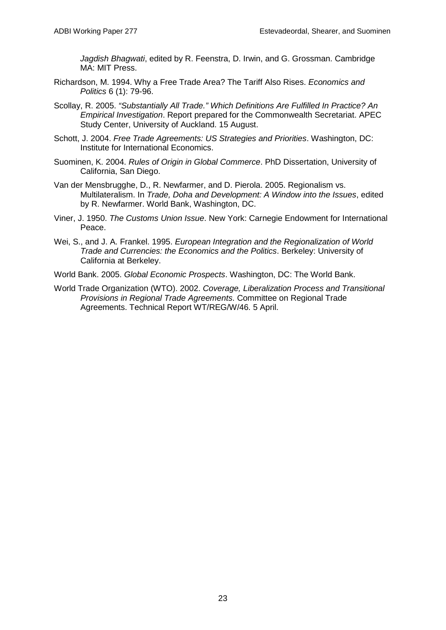*Jagdish Bhagwati*, edited by R. Feenstra, D. Irwin, and G. Grossman. Cambridge MA: MIT Press.

- Richardson, M. 1994. Why a Free Trade Area? The Tariff Also Rises. *Economics and Politics* 6 (1): 79-96.
- Scollay, R. 2005. *"Substantially All Trade." Which Definitions Are Fulfilled In Practice? An Empirical Investigation*. Report prepared for the Commonwealth Secretariat. APEC Study Center, University of Auckland. 15 August.
- Schott, J. 2004. *Free Trade Agreements: US Strategies and Priorities*. Washington, DC: Institute for International Economics.
- Suominen, K. 2004. *Rules of Origin in Global Commerce*. PhD Dissertation, University of California, San Diego.
- Van der Mensbrugghe, D., R. Newfarmer, and D. Pierola. 2005. Regionalism vs. Multilateralism. In *Trade, Doha and Development: A Window into the Issues*, edited by R. Newfarmer. World Bank, Washington, DC.
- Viner, J. 1950. *The Customs Union Issue*. New York: Carnegie Endowment for International Peace.
- Wei, S., and J. A. Frankel. 1995. *European Integration and the Regionalization of World Trade and Currencies: the Economics and the Politics*. Berkeley: University of California at Berkeley.

World Bank. 2005. *Global Economic Prospects*. Washington, DC: The World Bank.

World Trade Organization (WTO). 2002. *Coverage, Liberalization Process and Transitional Provisions in Regional Trade Agreements*. Committee on Regional Trade Agreements. Technical Report WT/REG/W/46. 5 April.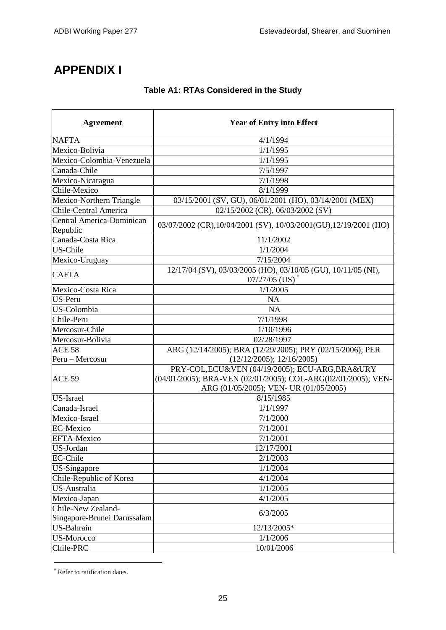# **APPENDIX I**

### **Table A1: RTAs Considered in the Study**

| <b>Agreement</b>                      | <b>Year of Entry into Effect</b>                                                                                                                           |
|---------------------------------------|------------------------------------------------------------------------------------------------------------------------------------------------------------|
| <b>NAFTA</b>                          | 4/1/1994                                                                                                                                                   |
| Mexico-Bolivia                        | 1/1/1995                                                                                                                                                   |
| Mexico-Colombia-Venezuela             | 1/1/1995                                                                                                                                                   |
| Canada-Chile                          | 7/5/1997                                                                                                                                                   |
| Mexico-Nicaragua                      | 7/1/1998                                                                                                                                                   |
| Chile-Mexico                          | 8/1/1999                                                                                                                                                   |
| Mexico-Northern Triangle              | 03/15/2001 (SV, GU), 06/01/2001 (HO), 03/14/2001 (MEX)                                                                                                     |
| <b>Chile-Central America</b>          | 02/15/2002 (CR), 06/03/2002 (SV)                                                                                                                           |
| Central America-Dominican<br>Republic | 03/07/2002 (CR),10/04/2001 (SV), 10/03/2001 (GU),12/19/2001 (HO)                                                                                           |
| Canada-Costa Rica                     | 11/1/2002                                                                                                                                                  |
| US-Chile                              | 1/1/2004                                                                                                                                                   |
| Mexico-Uruguay                        | 7/15/2004                                                                                                                                                  |
| <b>CAFTA</b>                          | 12/17/04 (SV), 03/03/2005 (HO), 03/10/05 (GU), 10/11/05 (NI),<br>$07/27/05$ (US) <sup>*</sup>                                                              |
| Mexico-Costa Rica                     | 1/1/2005                                                                                                                                                   |
| US-Peru                               | NA                                                                                                                                                         |
| US-Colombia                           | <b>NA</b>                                                                                                                                                  |
| Chile-Peru                            | 7/1/1998                                                                                                                                                   |
| Mercosur-Chile                        | 1/10/1996                                                                                                                                                  |
| Mercosur-Bolivia                      | 02/28/1997                                                                                                                                                 |
| ACE <sub>58</sub>                     | ARG (12/14/2005); BRA (12/29/2005); PRY (02/15/2006); PER                                                                                                  |
| Peru - Mercosur                       | (12/12/2005); 12/16/2005)                                                                                                                                  |
| ACE <sub>59</sub>                     | PRY-COL, ECU&VEN (04/19/2005); ECU-ARG, BRA&URY<br>(04/01/2005); BRA-VEN (02/01/2005); COL-ARG(02/01/2005); VEN-<br>ARG (01/05/2005); VEN- UR (01/05/2005) |
| US-Israel                             | 8/15/1985                                                                                                                                                  |
| Canada-Israel                         | 1/1/1997                                                                                                                                                   |
| Mexico-Israel                         | 7/1/2000                                                                                                                                                   |
| <b>EC-Mexico</b>                      | 7/1/2001                                                                                                                                                   |
| <b>EFTA-Mexico</b>                    | 7/1/2001                                                                                                                                                   |
| <b>US-Jordan</b>                      | 12/17/2001                                                                                                                                                 |
| <b>EC-Chile</b>                       | 2/1/2003                                                                                                                                                   |
| <b>US-Singapore</b>                   | 1/1/2004                                                                                                                                                   |
| Chile-Republic of Korea               | 4/1/2004                                                                                                                                                   |
| US-Australia                          | 1/1/2005                                                                                                                                                   |
| Mexico-Japan                          | 4/1/2005                                                                                                                                                   |
| Chile-New Zealand-                    |                                                                                                                                                            |
| Singapore-Brunei Darussalam           | 6/3/2005                                                                                                                                                   |
| <b>US-Bahrain</b>                     | 12/13/2005*                                                                                                                                                |
| <b>US-Morocco</b>                     | 1/1/2006                                                                                                                                                   |
| Chile-PRC                             | 10/01/2006                                                                                                                                                 |

<span id="page-28-0"></span><sup>\*</sup> Refer to ratification dates.

-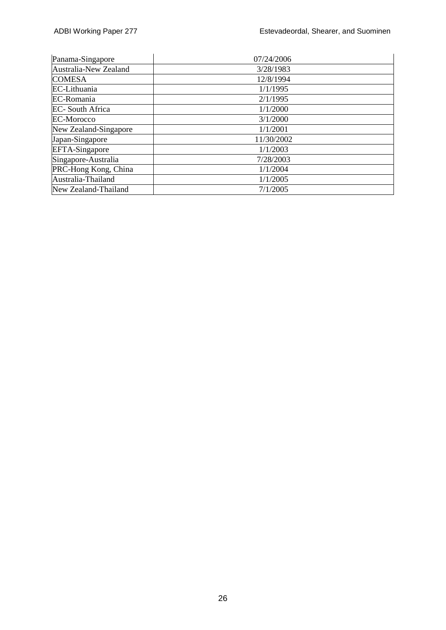| Panama-Singapore       | 07/24/2006 |
|------------------------|------------|
| Australia-New Zealand  | 3/28/1983  |
| <b>COMESA</b>          | 12/8/1994  |
| EC-Lithuania           | 1/1/1995   |
| EC-Romania             | 2/1/1995   |
| <b>EC-South Africa</b> | 1/1/2000   |
| <b>EC-Morocco</b>      | 3/1/2000   |
| New Zealand-Singapore  | 1/1/2001   |
| Japan-Singapore        | 11/30/2002 |
| <b>EFTA-Singapore</b>  | 1/1/2003   |
| Singapore-Australia    | 7/28/2003  |
| PRC-Hong Kong, China   | 1/1/2004   |
| Australia-Thailand     | 1/1/2005   |
| New Zealand-Thailand   | 7/1/2005   |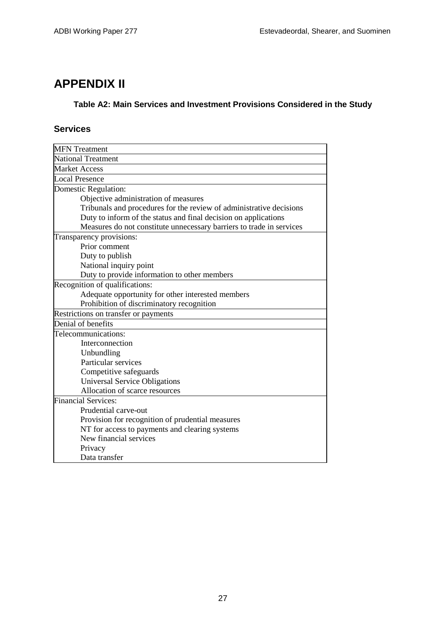# **APPENDIX II**

### **Table A2: Main Services and Investment Provisions Considered in the Study**

## **Services**

| <b>MFN</b> Treatment                                                 |  |  |  |  |
|----------------------------------------------------------------------|--|--|--|--|
| <b>National Treatment</b>                                            |  |  |  |  |
| <b>Market Access</b>                                                 |  |  |  |  |
| <b>Local Presence</b>                                                |  |  |  |  |
| Domestic Regulation:                                                 |  |  |  |  |
| Objective administration of measures                                 |  |  |  |  |
| Tribunals and procedures for the review of administrative decisions  |  |  |  |  |
| Duty to inform of the status and final decision on applications      |  |  |  |  |
| Measures do not constitute unnecessary barriers to trade in services |  |  |  |  |
| Transparency provisions:                                             |  |  |  |  |
| Prior comment                                                        |  |  |  |  |
| Duty to publish                                                      |  |  |  |  |
| National inquiry point                                               |  |  |  |  |
| Duty to provide information to other members                         |  |  |  |  |
| Recognition of qualifications:                                       |  |  |  |  |
| Adequate opportunity for other interested members                    |  |  |  |  |
| Prohibition of discriminatory recognition                            |  |  |  |  |
| Restrictions on transfer or payments                                 |  |  |  |  |
| Denial of benefits                                                   |  |  |  |  |
| Telecommunications:                                                  |  |  |  |  |
| Interconnection                                                      |  |  |  |  |
| Unbundling                                                           |  |  |  |  |
| Particular services                                                  |  |  |  |  |
| Competitive safeguards                                               |  |  |  |  |
| <b>Universal Service Obligations</b>                                 |  |  |  |  |
| Allocation of scarce resources                                       |  |  |  |  |
| <b>Financial Services:</b>                                           |  |  |  |  |
| Prudential carve-out                                                 |  |  |  |  |
| Provision for recognition of prudential measures                     |  |  |  |  |
| NT for access to payments and clearing systems                       |  |  |  |  |
| New financial services                                               |  |  |  |  |
| Privacy                                                              |  |  |  |  |
| Data transfer                                                        |  |  |  |  |